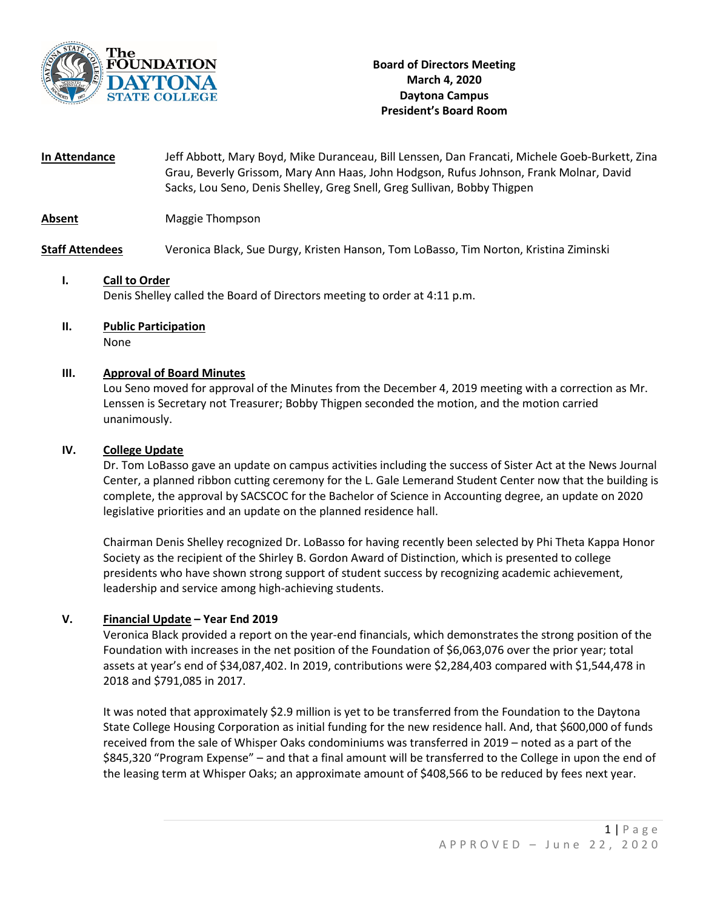

**In Attendance** Jeff Abbott, Mary Boyd, Mike Duranceau, Bill Lenssen, Dan Francati, Michele Goeb-Burkett, Zina Grau, Beverly Grissom, Mary Ann Haas, John Hodgson, Rufus Johnson, Frank Molnar, David Sacks, Lou Seno, Denis Shelley, Greg Snell, Greg Sullivan, Bobby Thigpen

**Absent** Maggie Thompson

**Staff Attendees** Veronica Black, Sue Durgy, Kristen Hanson, Tom LoBasso, Tim Norton, Kristina Ziminski

# **I. Call to Order** Denis Shelley called the Board of Directors meeting to order at 4:11 p.m.

**II. Public Participation** None

## **III. Approval of Board Minutes**

Lou Seno moved for approval of the Minutes from the December 4, 2019 meeting with a correction as Mr. Lenssen is Secretary not Treasurer; Bobby Thigpen seconded the motion, and the motion carried unanimously.

#### **IV. College Update**

Dr. Tom LoBasso gave an update on campus activities including the success of Sister Act at the News Journal Center, a planned ribbon cutting ceremony for the L. Gale Lemerand Student Center now that the building is complete, the approval by SACSCOC for the Bachelor of Science in Accounting degree, an update on 2020 legislative priorities and an update on the planned residence hall.

Chairman Denis Shelley recognized Dr. LoBasso for having recently been selected by Phi Theta Kappa Honor Society as the recipient of the Shirley B. Gordon Award of Distinction, which is presented to college presidents who have shown strong support of student success by recognizing academic achievement, leadership and service among high-achieving students.

#### **V. Financial Update – Year End 2019**

Veronica Black provided a report on the year-end financials, which demonstrates the strong position of the Foundation with increases in the net position of the Foundation of \$6,063,076 over the prior year; total assets at year's end of \$34,087,402. In 2019, contributions were \$2,284,403 compared with \$1,544,478 in 2018 and \$791,085 in 2017.

It was noted that approximately \$2.9 million is yet to be transferred from the Foundation to the Daytona State College Housing Corporation as initial funding for the new residence hall. And, that \$600,000 of funds received from the sale of Whisper Oaks condominiums was transferred in 2019 – noted as a part of the \$845,320 "Program Expense" – and that a final amount will be transferred to the College in upon the end of the leasing term at Whisper Oaks; an approximate amount of \$408,566 to be reduced by fees next year.